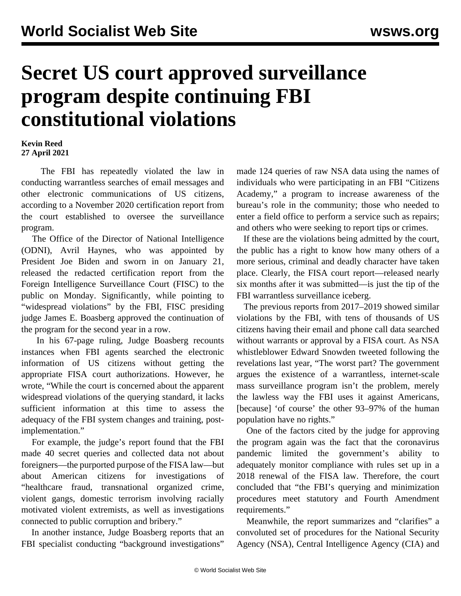## **Secret US court approved surveillance program despite continuing FBI constitutional violations**

## **Kevin Reed 27 April 2021**

 The FBI has repeatedly violated the law in conducting warrantless searches of email messages and other electronic communications of US citizens, according to a November 2020 certification report from the court established to oversee the surveillance program.

 The Office of the Director of National Intelligence (ODNI), Avril Haynes, who was appointed by President Joe Biden and sworn in on January 21, released the redacted certification report from the Foreign Intelligence Surveillance Court (FISC) to the public on Monday. Significantly, while pointing to "widespread violations" by the FBI, FISC presiding judge James E. Boasberg approved the continuation of the program for the second year in a row.

 In his 67-page ruling, Judge Boasberg recounts instances when FBI agents searched the electronic information of US citizens without getting the appropriate FISA court authorizations. However, he wrote, "While the court is concerned about the apparent widespread violations of the querying standard, it lacks sufficient information at this time to assess the adequacy of the FBI system changes and training, postimplementation."

 For example, the judge's report found that the FBI made 40 secret queries and collected data not about foreigners—the purported purpose of the FISA law—but about American citizens for investigations of "healthcare fraud, transnational organized crime, violent gangs, domestic terrorism involving racially motivated violent extremists, as well as investigations connected to public corruption and bribery."

 In another instance, Judge Boasberg reports that an FBI specialist conducting "background investigations"

made 124 queries of raw NSA data using the names of individuals who were participating in an FBI "Citizens Academy," a program to increase awareness of the bureau's role in the community; those who needed to enter a field office to perform a service such as repairs; and others who were seeking to report tips or crimes.

 If these are the violations being admitted by the court, the public has a right to know how many others of a more serious, criminal and deadly character have taken place. Clearly, the FISA court report—released nearly six months after it was submitted—is just the tip of the FBI warrantless surveillance iceberg.

 The previous reports from 2017–2019 showed [similar](/en/articles/2019/10/10/surv-o10.html) [violations by the FBI,](/en/articles/2019/10/10/surv-o10.html) with tens of thousands of US citizens having their email and phone call data searched without warrants or approval by a FISA court. As NSA whistleblower Edward Snowden tweeted following the revelations last year, "The worst part? The government argues the existence of a warrantless, internet-scale mass surveillance program isn't the problem, merely the lawless way the FBI uses it against Americans, [because] 'of course' the other 93–97% of the human population have no rights."

 One of the factors cited by the judge for approving the program again was the fact that the coronavirus pandemic limited the government's ability to adequately monitor compliance with rules set up in a 2018 renewal of the FISA law. Therefore, the court concluded that "the FBI's querying and minimization procedures meet statutory and Fourth Amendment requirements."

 Meanwhile, the report summarizes and "clarifies" a convoluted set of procedures for the National Security Agency (NSA), Central Intelligence Agency (CIA) and